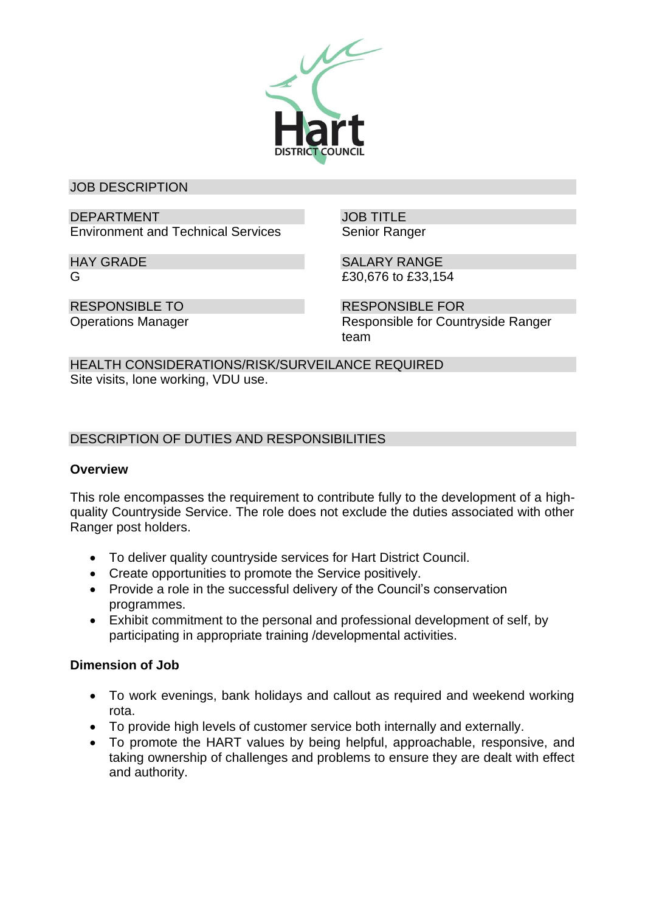

JOB DESCRIPTION

DEPARTMENT Environment and Technical Services JOB TITLE Senior Ranger

SALARY RANGE

HAY GRADE G

RESPONSIBLE TO Operations Manager £30,676 to £33,154

RESPONSIBLE FOR Responsible for Countryside Ranger team

HEALTH CONSIDERATIONS/RISK/SURVEILANCE REQUIRED Site visits, lone working, VDU use.

DESCRIPTION OF DUTIES AND RESPONSIBILITIES

# **Overview**

This role encompasses the requirement to contribute fully to the development of a highquality Countryside Service. The role does not exclude the duties associated with other Ranger post holders.

- To deliver quality countryside services for Hart District Council.
- Create opportunities to promote the Service positively.
- Provide a role in the successful delivery of the Council's conservation programmes.
- Exhibit commitment to the personal and professional development of self, by participating in appropriate training /developmental activities.

# **Dimension of Job**

- To work evenings, bank holidays and callout as required and weekend working rota.
- To provide high levels of customer service both internally and externally.
- To promote the HART values by being helpful, approachable, responsive, and taking ownership of challenges and problems to ensure they are dealt with effect and authority.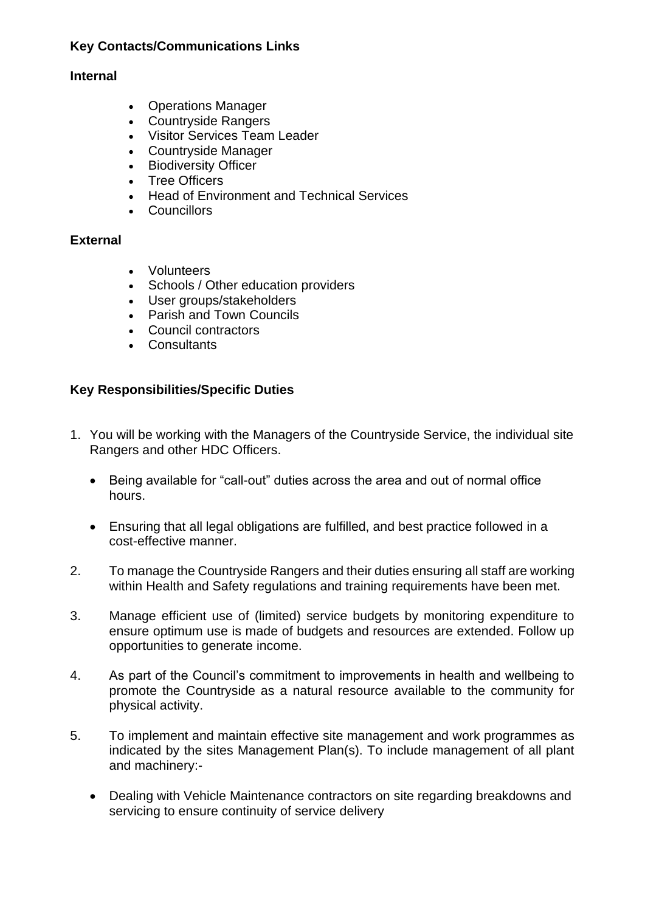## **Key Contacts/Communications Links**

#### **Internal**

- Operations Manager
- Countryside Rangers
- Visitor Services Team Leader
- Countryside Manager
- Biodiversity Officer
- Tree Officers
- Head of Environment and Technical Services
- Councillors

### **External**

- Volunteers
- Schools / Other education providers
- User groups/stakeholders
- Parish and Town Councils
- Council contractors
- Consultants

### **Key Responsibilities/Specific Duties**

- 1. You will be working with the Managers of the Countryside Service, the individual site Rangers and other HDC Officers.
	- Being available for "call-out" duties across the area and out of normal office hours.
	- Ensuring that all legal obligations are fulfilled, and best practice followed in a cost-effective manner.
- 2. To manage the Countryside Rangers and their duties ensuring all staff are working within Health and Safety regulations and training requirements have been met.
- 3. Manage efficient use of (limited) service budgets by monitoring expenditure to ensure optimum use is made of budgets and resources are extended. Follow up opportunities to generate income.
- 4. As part of the Council's commitment to improvements in health and wellbeing to promote the Countryside as a natural resource available to the community for physical activity.
- 5. To implement and maintain effective site management and work programmes as indicated by the sites Management Plan(s). To include management of all plant and machinery:-
	- Dealing with Vehicle Maintenance contractors on site regarding breakdowns and servicing to ensure continuity of service delivery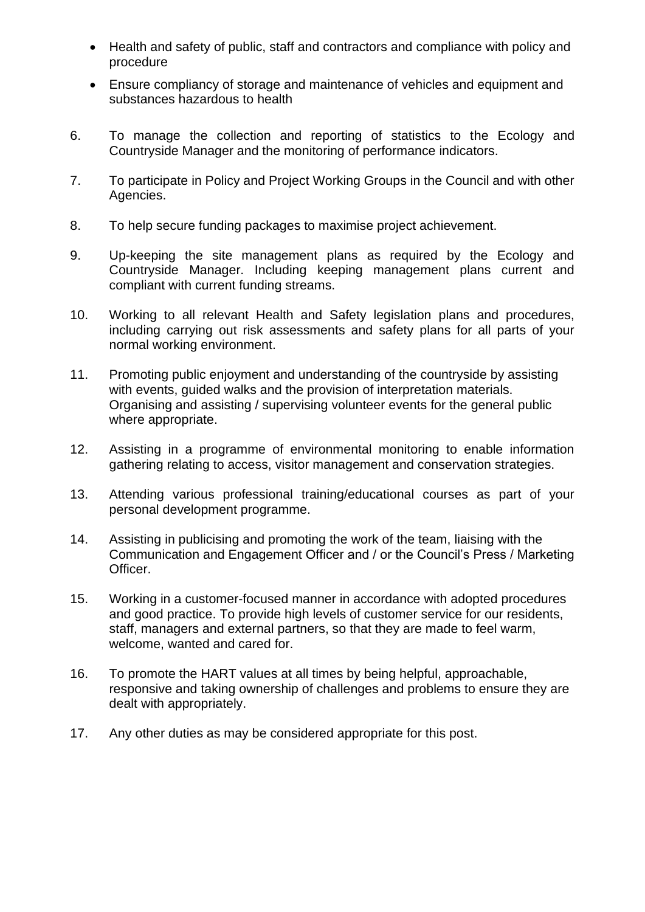- Health and safety of public, staff and contractors and compliance with policy and procedure
- Ensure compliancy of storage and maintenance of vehicles and equipment and substances hazardous to health
- 6. To manage the collection and reporting of statistics to the Ecology and Countryside Manager and the monitoring of performance indicators.
- 7. To participate in Policy and Project Working Groups in the Council and with other Agencies.
- 8. To help secure funding packages to maximise project achievement.
- 9. Up-keeping the site management plans as required by the Ecology and Countryside Manager. Including keeping management plans current and compliant with current funding streams.
- 10. Working to all relevant Health and Safety legislation plans and procedures, including carrying out risk assessments and safety plans for all parts of your normal working environment.
- 11. Promoting public enjoyment and understanding of the countryside by assisting with events, guided walks and the provision of interpretation materials. Organising and assisting / supervising volunteer events for the general public where appropriate.
- 12. Assisting in a programme of environmental monitoring to enable information gathering relating to access, visitor management and conservation strategies.
- 13. Attending various professional training/educational courses as part of your personal development programme.
- 14. Assisting in publicising and promoting the work of the team, liaising with the Communication and Engagement Officer and / or the Council's Press / Marketing Officer.
- 15. Working in a customer-focused manner in accordance with adopted procedures and good practice. To provide high levels of customer service for our residents, staff, managers and external partners, so that they are made to feel warm, welcome, wanted and cared for.
- 16. To promote the HART values at all times by being helpful, approachable, responsive and taking ownership of challenges and problems to ensure they are dealt with appropriately.
- 17. Any other duties as may be considered appropriate for this post.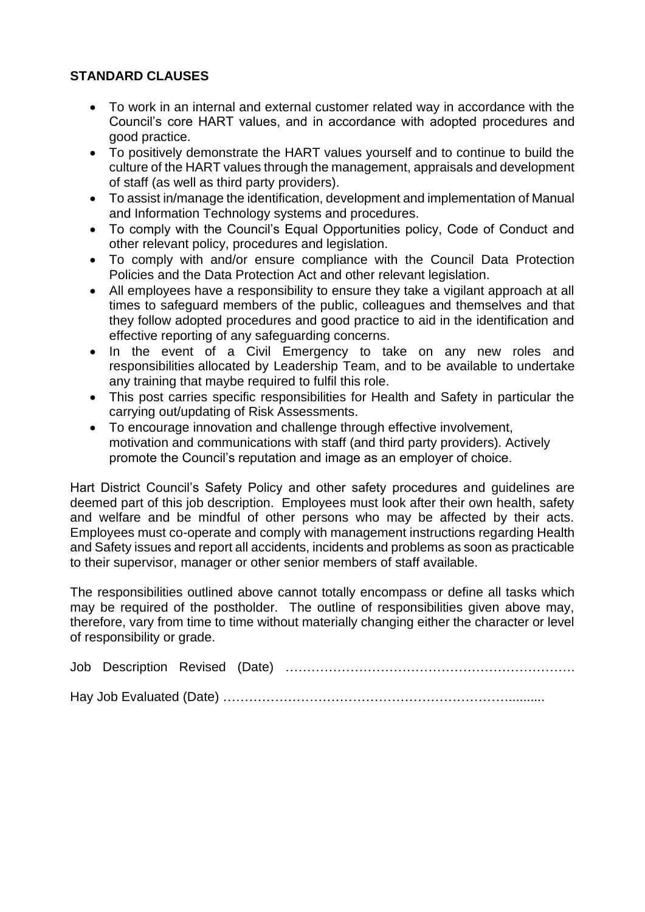# **STANDARD CLAUSES**

- To work in an internal and external customer related way in accordance with the Council's core HART values, and in accordance with adopted procedures and good practice.
- To positively demonstrate the HART values yourself and to continue to build the culture of the HART values through the management, appraisals and development of staff (as well as third party providers).
- To assist in/manage the identification, development and implementation of Manual and Information Technology systems and procedures.
- To comply with the Council's Equal Opportunities policy, Code of Conduct and other relevant policy, procedures and legislation.
- To comply with and/or ensure compliance with the Council Data Protection Policies and the Data Protection Act and other relevant legislation.
- All employees have a responsibility to ensure they take a vigilant approach at all times to safeguard members of the public, colleagues and themselves and that they follow adopted procedures and good practice to aid in the identification and effective reporting of any safeguarding concerns.
- In the event of a Civil Emergency to take on any new roles and responsibilities allocated by Leadership Team, and to be available to undertake any training that maybe required to fulfil this role.
- This post carries specific responsibilities for Health and Safety in particular the carrying out/updating of Risk Assessments.
- To encourage innovation and challenge through effective involvement, motivation and communications with staff (and third party providers). Actively promote the Council's reputation and image as an employer of choice.

Hart District Council's Safety Policy and other safety procedures and guidelines are deemed part of this job description. Employees must look after their own health, safety and welfare and be mindful of other persons who may be affected by their acts. Employees must co-operate and comply with management instructions regarding Health and Safety issues and report all accidents, incidents and problems as soon as practicable to their supervisor, manager or other senior members of staff available.

The responsibilities outlined above cannot totally encompass or define all tasks which may be required of the postholder. The outline of responsibilities given above may, therefore, vary from time to time without materially changing either the character or level of responsibility or grade.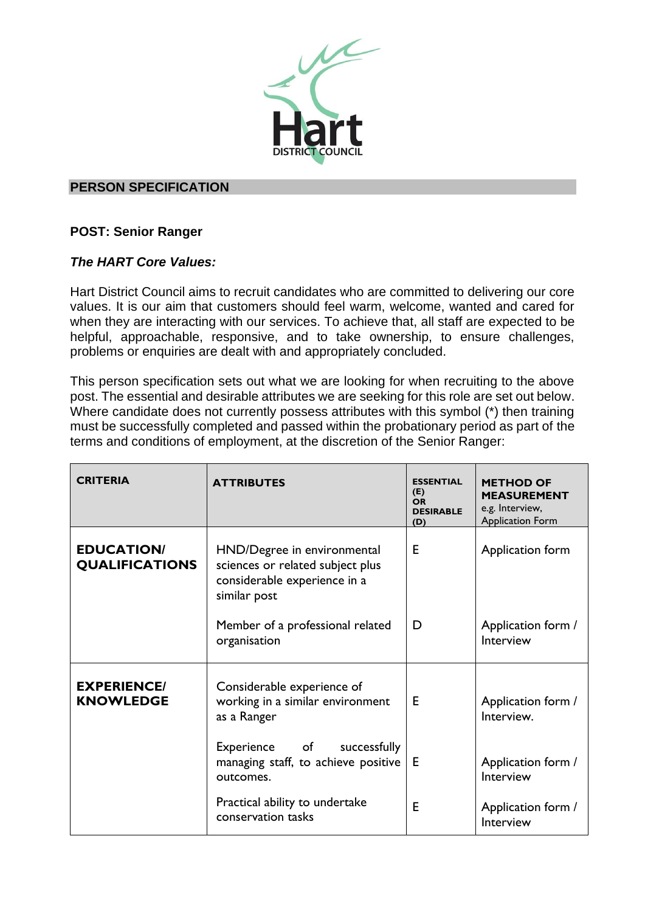

#### **PERSON SPECIFICATION**

# **POST: Senior Ranger**

# *The HART Core Values:*

Hart District Council aims to recruit candidates who are committed to delivering our core values. It is our aim that customers should feel warm, welcome, wanted and cared for when they are interacting with our services. To achieve that, all staff are expected to be helpful, approachable, responsive, and to take ownership, to ensure challenges, problems or enquiries are dealt with and appropriately concluded.

This person specification sets out what we are looking for when recruiting to the above post. The essential and desirable attributes we are seeking for this role are set out below. Where candidate does not currently possess attributes with this symbol (\*) then training must be successfully completed and passed within the probationary period as part of the terms and conditions of employment, at the discretion of the Senior Ranger:

| <b>CRITERIA</b>                            | <b>ATTRIBUTES</b>                                                                                               | <b>ESSENTIAL</b><br>(E)<br><b>OR</b><br><b>DESIRABLE</b><br>(D) | <b>METHOD OF</b><br><b>MEASUREMENT</b><br>e.g. Interview,<br><b>Application Form</b> |
|--------------------------------------------|-----------------------------------------------------------------------------------------------------------------|-----------------------------------------------------------------|--------------------------------------------------------------------------------------|
| <b>EDUCATION/</b><br><b>QUALIFICATIONS</b> | HND/Degree in environmental<br>sciences or related subject plus<br>considerable experience in a<br>similar post | Е                                                               | Application form                                                                     |
|                                            | Member of a professional related<br>organisation                                                                | D                                                               | Application form /<br>Interview                                                      |
| <b>EXPERIENCE/</b><br><b>KNOWLEDGE</b>     | Considerable experience of<br>working in a similar environment<br>as a Ranger                                   | Е                                                               | Application form /<br>Interview.                                                     |
|                                            | Experience<br>of<br>successfully<br>managing staff, to achieve positive<br>outcomes.                            | Е                                                               | Application form /<br>Interview                                                      |
|                                            | Practical ability to undertake<br>conservation tasks                                                            | Е                                                               | Application form /<br>Interview                                                      |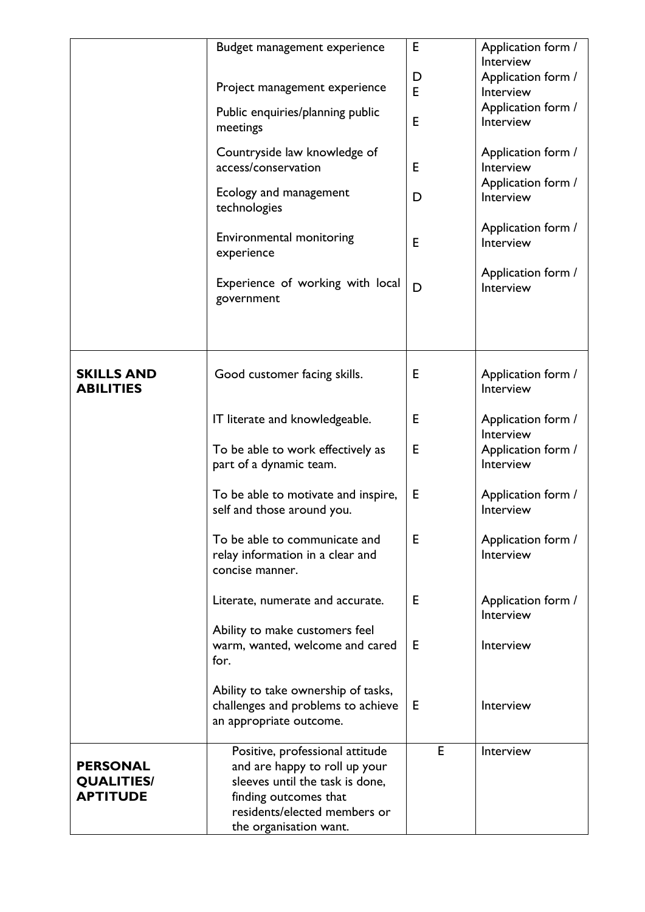|                                                         | Budget management experience<br>Project management experience<br>Public enquiries/planning public<br>meetings<br>Countryside law knowledge of<br>access/conservation<br>Ecology and management<br>technologies<br>Environmental monitoring | E<br>D<br>E<br>E<br>E<br>D<br>Е | Application form /<br>Interview<br>Application form /<br>Interview<br>Application form /<br>Interview<br>Application form /<br>Interview<br>Application form /<br>Interview<br>Application form /<br>Interview |
|---------------------------------------------------------|--------------------------------------------------------------------------------------------------------------------------------------------------------------------------------------------------------------------------------------------|---------------------------------|----------------------------------------------------------------------------------------------------------------------------------------------------------------------------------------------------------------|
|                                                         | experience<br>Experience of working with local<br>government                                                                                                                                                                               | D                               | Application form /<br>Interview                                                                                                                                                                                |
| <b>SKILLS AND</b><br><b>ABILITIES</b>                   | Good customer facing skills.                                                                                                                                                                                                               | Е                               | Application form /<br>Interview                                                                                                                                                                                |
|                                                         | IT literate and knowledgeable.                                                                                                                                                                                                             | Е                               | Application form /<br>Interview                                                                                                                                                                                |
|                                                         | To be able to work effectively as<br>part of a dynamic team.                                                                                                                                                                               | E                               | Application form /<br>Interview                                                                                                                                                                                |
|                                                         | To be able to motivate and inspire,<br>self and those around you.                                                                                                                                                                          | E                               | Application form /<br>Interview                                                                                                                                                                                |
|                                                         | To be able to communicate and<br>relay information in a clear and<br>concise manner.                                                                                                                                                       | E                               | Application form /<br>Interview                                                                                                                                                                                |
|                                                         | Literate, numerate and accurate.                                                                                                                                                                                                           | Е                               | Application form /<br>Interview                                                                                                                                                                                |
|                                                         | Ability to make customers feel<br>warm, wanted, welcome and cared<br>for.                                                                                                                                                                  | Е                               | Interview                                                                                                                                                                                                      |
|                                                         | Ability to take ownership of tasks,<br>challenges and problems to achieve<br>an appropriate outcome.                                                                                                                                       | Е                               | Interview                                                                                                                                                                                                      |
| <b>PERSONAL</b><br><b>QUALITIES/</b><br><b>APTITUDE</b> | Positive, professional attitude<br>and are happy to roll up your<br>sleeves until the task is done,<br>finding outcomes that<br>residents/elected members or<br>the organisation want.                                                     | E                               | Interview                                                                                                                                                                                                      |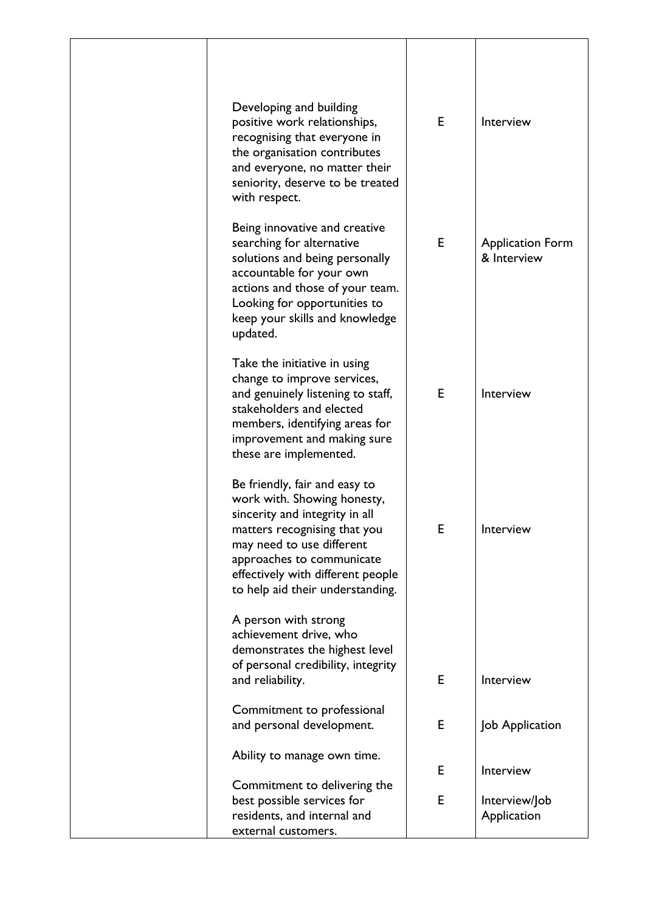| Developing and building<br>positive work relationships,<br>recognising that everyone in<br>the organisation contributes<br>and everyone, no matter their<br>seniority, deserve to be treated<br>with respect.                                                     | E | Interview                              |
|-------------------------------------------------------------------------------------------------------------------------------------------------------------------------------------------------------------------------------------------------------------------|---|----------------------------------------|
| Being innovative and creative<br>searching for alternative<br>solutions and being personally<br>accountable for your own<br>actions and those of your team.<br>Looking for opportunities to<br>keep your skills and knowledge<br>updated.                         | E | <b>Application Form</b><br>& Interview |
| Take the initiative in using<br>change to improve services,<br>and genuinely listening to staff,<br>stakeholders and elected<br>members, identifying areas for<br>improvement and making sure<br>these are implemented.                                           | E | Interview                              |
| Be friendly, fair and easy to<br>work with. Showing honesty,<br>sincerity and integrity in all<br>matters recognising that you<br>may need to use different<br>approaches to communicate<br>effectively with different people<br>to help aid their understanding. | Е | Interview                              |
| A person with strong<br>achievement drive, who<br>demonstrates the highest level<br>of personal credibility, integrity<br>and reliability.                                                                                                                        | Е | Interview                              |
| Commitment to professional<br>and personal development.                                                                                                                                                                                                           | E | Job Application                        |
| Ability to manage own time.                                                                                                                                                                                                                                       | E | Interview                              |
| Commitment to delivering the<br>best possible services for<br>residents, and internal and<br>external customers.                                                                                                                                                  | E | Interview/Job<br>Application           |